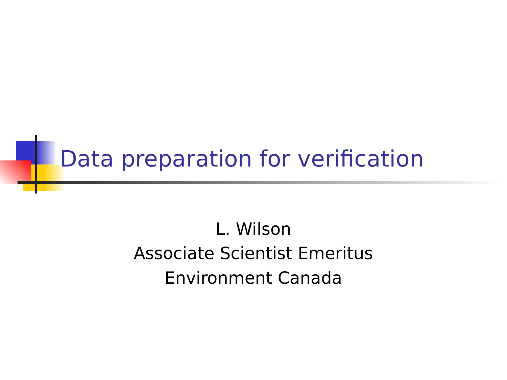### Data preparation for verification

#### L. Wilson Associate Scientist Emeritus Environment Canada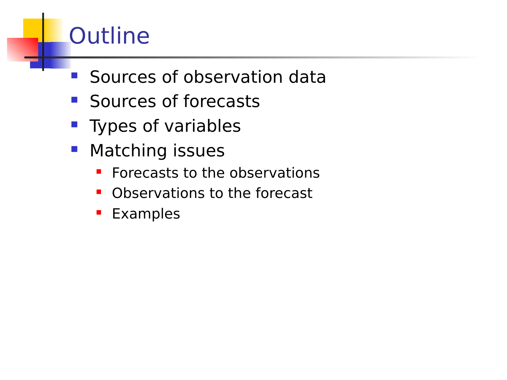### **Outline**

- **Sources of observation data**
- **Sources of forecasts**
- **Types of variables**
- **Matching issues** 
	- **Forecasts to the observations**
	- **Observations to the forecast**
	- **Examples**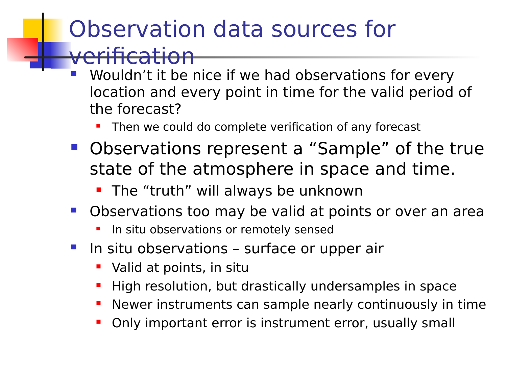### Observation data sources for

#### rification

- Wouldn't it be nice if we had observations for every location and every point in time for the valid period of the forecast?
	- Then we could do complete verification of any forecast
- Observations represent a "Sample" of the true state of the atmosphere in space and time.
	- **The "truth" will always be unknown**
- **Observations too may be valid at points or over an area** 
	- In situ observations or remotely sensed
- In situ observations surface or upper air
	- Valid at points, in situ
	- High resolution, but drastically undersamples in space
	- **-** Newer instruments can sample nearly continuously in time
	- Only important error is instrument error, usually small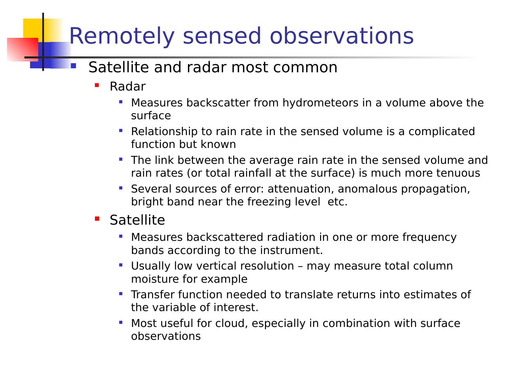### Remotely sensed observations

- Satellite and radar most common
	- Radar
		- Measures backscatter from hydrometeors in a volume above the surface
		- Relationship to rain rate in the sensed volume is a complicated function but known
		- The link between the average rain rate in the sensed volume and rain rates (or total rainfall at the surface) is much more tenuous
		- Several sources of error: attenuation, anomalous propagation, bright band near the freezing level etc.
	- **Satellite** 
		- Measures backscattered radiation in one or more frequency bands according to the instrument.
		- Usually low vertical resolution may measure total column moisture for example
		- Transfer function needed to translate returns into estimates of the variable of interest.
		- **Most useful for cloud, especially in combination with surface** observations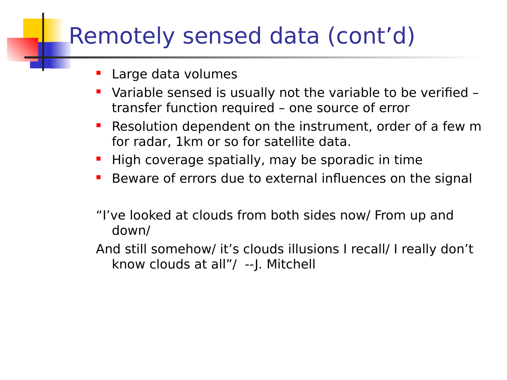### Remotely sensed data (cont'd)

- Large data volumes
- Variable sensed is usually not the variable to be verified transfer function required – one source of error
- **•** Resolution dependent on the instrument, order of a few m for radar, 1km or so for satellite data.
- High coverage spatially, may be sporadic in time
- **Beware of errors due to external influences on the signal**
- "I've looked at clouds from both sides now/ From up and down/
- And still somehow/ it's clouds illusions I recall/ I really don't know clouds at all"/ --J. Mitchell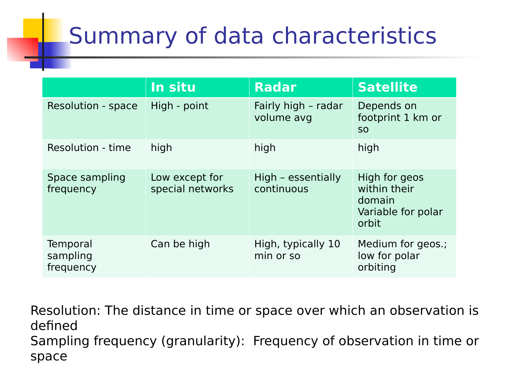### Summary of data characteristics

|                                   | In situ                            | <b>Radar</b>                      | <b>Satellite</b>                                                       |
|-----------------------------------|------------------------------------|-----------------------------------|------------------------------------------------------------------------|
| Resolution - space                | High - point                       | Fairly high - radar<br>volume avg | Depends on<br>footprint 1 km or<br><b>SO</b>                           |
| <b>Resolution - time</b>          | high                               | high                              | high                                                                   |
| Space sampling<br>frequency       | Low except for<br>special networks | High - essentially<br>continuous  | High for geos<br>within their<br>domain<br>Variable for polar<br>orbit |
| Temporal<br>sampling<br>frequency | Can be high                        | High, typically 10<br>min or so   | Medium for geos.;<br>low for polar<br>orbiting                         |

Resolution: The distance in time or space over which an observation is defined Sampling frequency (granularity): Frequency of observation in time or space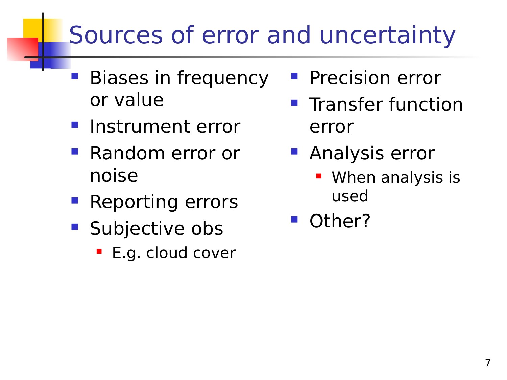# Sources of error and uncertainty

- Biases in frequency or value
- **Instrument error**
- **Random error or** noise
- **Reporting errors**
- **Subjective obs** 
	- **E.g. cloud cover**
- **Precision error**
- **Transfer function** error
- **Analysis error** 
	- **When analysis is** used
- Other?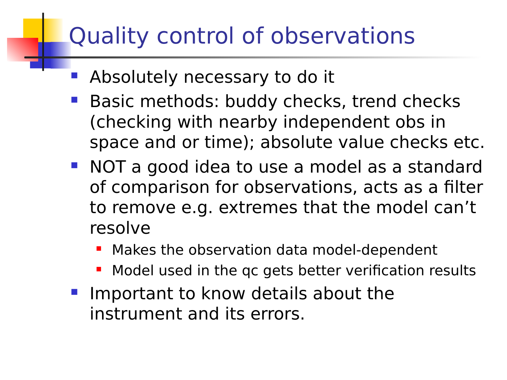# Quality control of observations

- Absolutely necessary to do it
- Basic methods: buddy checks, trend checks (checking with nearby independent obs in space and or time); absolute value checks etc.
- **NOT** a good idea to use a model as a standard of comparison for observations, acts as a filter to remove e.g. extremes that the model can't resolve
	- **Makes the observation data model-dependent**
	- Model used in the qc gets better verification results
- Important to know details about the instrument and its errors.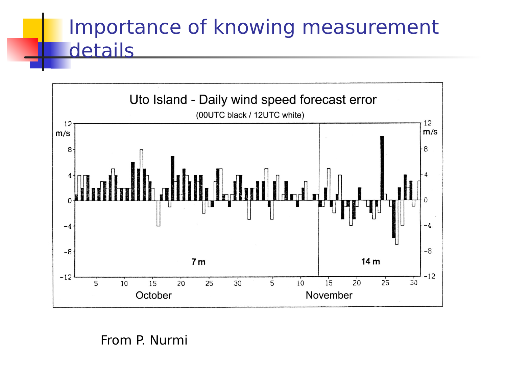#### Importance of knowing measurement details



From P. Nurmi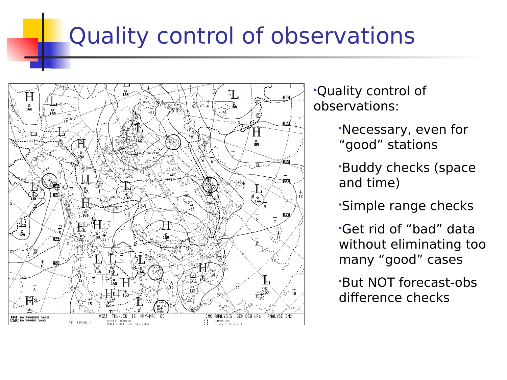### Quality control of observations



Quality control of observations:

- Necessary, even for "good" stations
- Buddy checks (space and time)

Simple range checks

Get rid of "bad" data without eliminating too many "good" cases

But NOT forecast-obs difference checks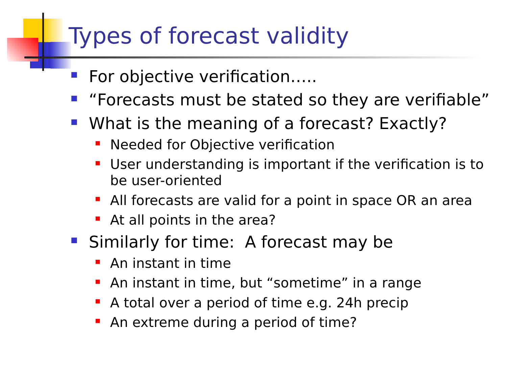### Types of forecast validity

- For objective verification…..
- "Forecasts must be stated so they are verifiable"
- **What is the meaning of a forecast? Exactly?** 
	- Needed for Objective verification
	- User understanding is important if the verification is to be user-oriented
	- **All forecasts are valid for a point in space OR an area**
	- **At all points in the area?**
- **Similarly for time: A forecast may be** 
	- An instant in time
	- An instant in time, but "sometime" in a range
	- A total over a period of time e.g. 24h precip
	- An extreme during a period of time?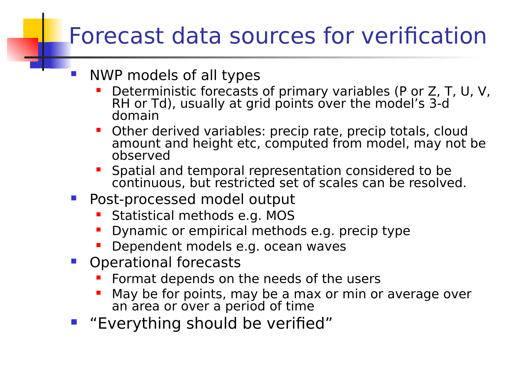### Forecast data sources for verification

- **NWP models of all types** 
	- **Deterministic forecasts of primary variables (P or Z, T, U, V, P)** RH or Td), usually at grid points over the model's 3-d domain
	- Other derived variables: precip rate, precip totals, cloud amount and height etc, computed from model, may not be observed
	- **Spatial and temporal representation considered to be** continuous, but restricted set of scales can be resolved.
- **Post-processed model output** 
	- Statistical methods e.g. MOS
	- Dynamic or empirical methods e.g. precip type
	- Dependent models e.g. ocean waves
- **Operational forecasts** 
	- Format depends on the needs of the users
	- May be for points, may be a max or min or average over an area or over a period of time
- "Everything should be verified"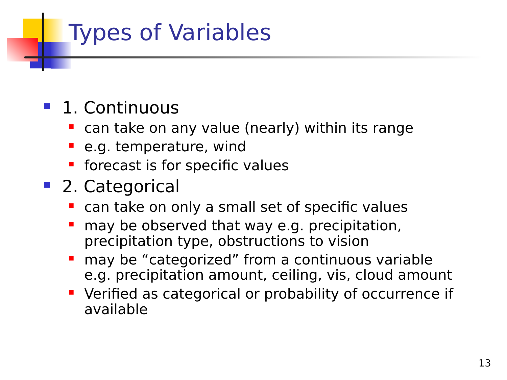### Types of Variables

#### ■ 1. Continuous

- can take on any value (nearly) within its range
- e.g. temperature, wind
- forecast is for specific values
- **2. Categorical** 
	- can take on only a small set of specific values
	- may be observed that way e.g. precipitation, precipitation type, obstructions to vision
	- may be "categorized" from a continuous variable e.g. precipitation amount, ceiling, vis, cloud amount
	- Verified as categorical or probability of occurrence if available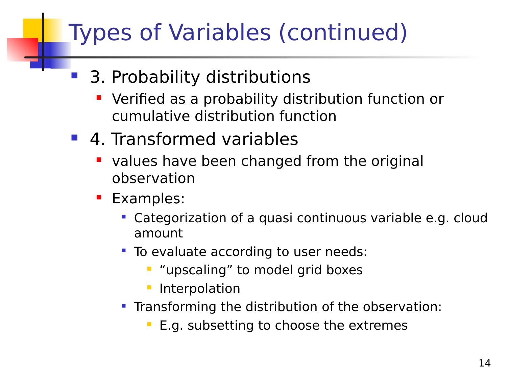### Types of Variables (continued)

- 3. Probability distributions
	- **Verified as a probability distribution function or** cumulative distribution function
- **4. Transformed variables** 
	- values have been changed from the original observation
	- **Examples:** 
		- Categorization of a quasi continuous variable e.g. cloud amount
		- To evaluate according to user needs:
			- **"** "upscaling" to model grid boxes
			- Interpolation
		- **The Transforming the distribution of the observation:** 
			- E.g. subsetting to choose the extremes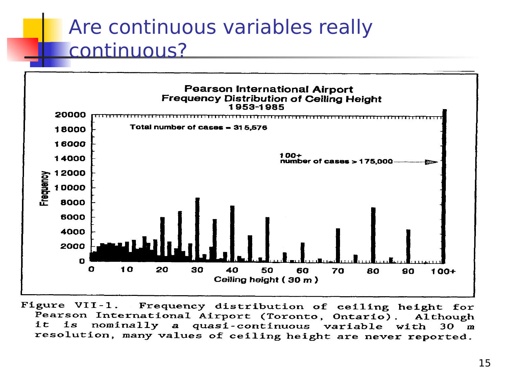#### Are continuous variables really continuous?



Figure VII-1. Frequency distribution of ceiling height for Pearson International Airport (Toronto, Ontario). Although **is** it nominally a quasi-continuous variable with 30  $\mathbf{m}$ resolution, many values of ceiling height are never reported.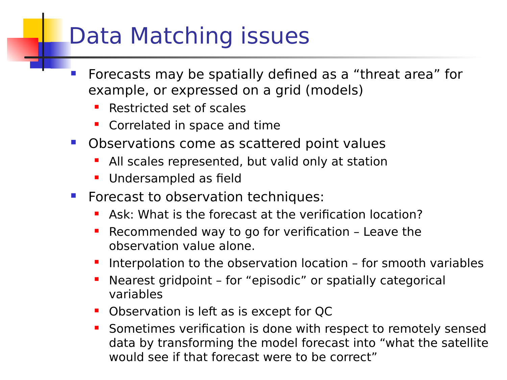### Data Matching issues

- Forecasts may be spatially defined as a "threat area" for example, or expressed on a grid (models)
	- **Restricted set of scales**
	- **Correlated in space and time**
- **Observations come as scattered point values** 
	- **All scales represented, but valid only at station**
	- **Undersampled as field**
- **Forecast to observation techniques:** 
	- Ask: What is the forecast at the verification location?
	- Recommended way to go for verification Leave the observation value alone.
	- **Interpolation to the observation location for smooth variables**
	- Nearest gridpoint for "episodic" or spatially categorical variables
	- Observation is left as is except for QC
	- **Sometimes verification is done with respect to remotely sensed** data by transforming the model forecast into "what the satellite would see if that forecast were to be correct"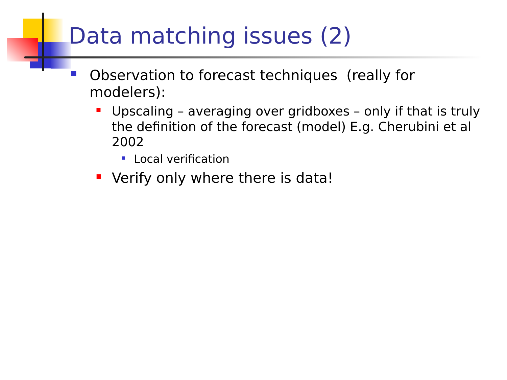### Data matching issues (2)

- **Observation to forecast techniques (really for** modelers):
	- Upscaling averaging over gridboxes only if that is truly the definition of the forecast (model) E.g. Cherubini et al 2002
		- **Local verification**
	- **Verify only where there is data!**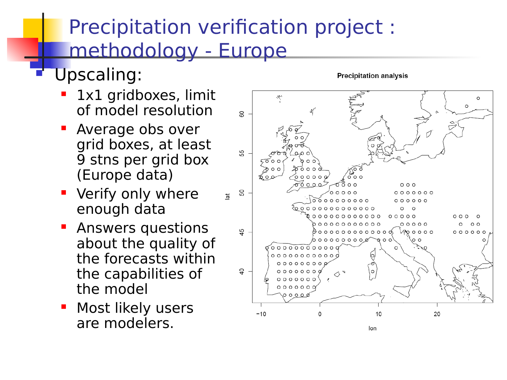#### Precipitation verification project : methodology - Europe

- Upscaling:
	- 1x1 gridboxes, limit of model resolution
	- **Average obs over** grid boxes, at least 9 stns per grid box (Europe data)
	- **Verify only where** enough data
	- Answers questions about the quality of the forecasts within the capabilities of the model
	- **Most likely users** are modelers.

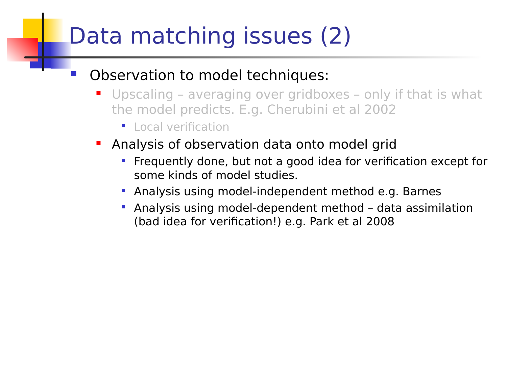# Data matching issues (2)

#### **• Observation to model techniques:**

- Upscaling averaging over gridboxes only if that is what the model predicts. E.g. Cherubini et al 2002
	- **Local verification**
- Analysis of observation data onto model grid
	- Frequently done, but not a good idea for verification except for some kinds of model studies.
	- Analysis using model-independent method e.g. Barnes
	- Analysis using model-dependent method data assimilation (bad idea for verification!) e.g. Park et al 2008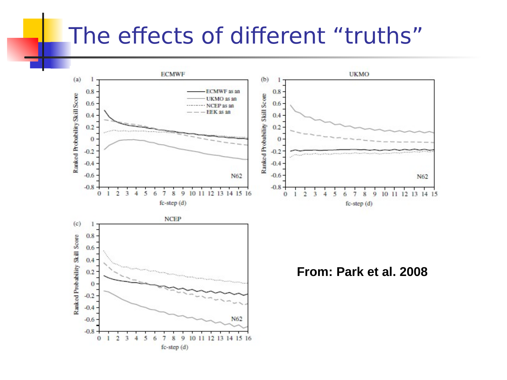### The effects of different "truths"

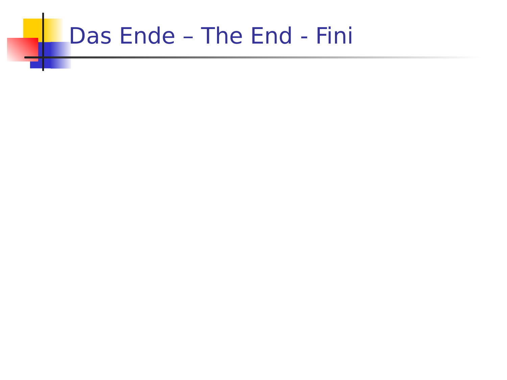# Das Ende – The End - Fini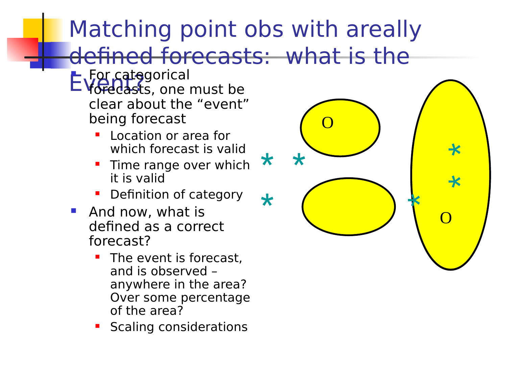### Matching point obs with areally defined forecasts: what is the

- Event categorical<br>Everedasts, one must be clear about the "event" being forecast
	- **Location or area for** which forecast is valid
	- **Time range over which** it is valid
	- Definition of category
- **And now, what is** defined as a correct forecast?
	- The event is forecast, and is observed – anywhere in the area? Over some percentage of the area?
	- **Scaling considerations**

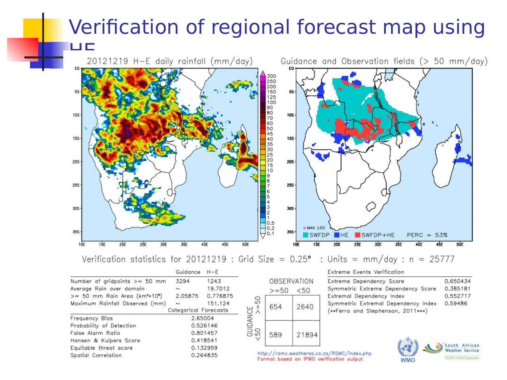# Verification of regional forecast map using



Verification statistics for 20121219 : Grid Size =  $0.25^{\circ}$  : Units = mm/day : n = 25777

GUIDANCE

|                                                        | Guidance              | $H-E$            |
|--------------------------------------------------------|-----------------------|------------------|
| Number of gridpoints $>= 50$ mm                        | 3294                  | 1243             |
| Average Rain over domain                               | w                     | 19.7012          |
| >= 50 mm Rain Area (km <sup>2</sup> *10 <sup>*</sup> ) |                       | 2.05875 0.776875 |
| Maximum Rainfall Observed (mm)                         | $\sim$                | 151.124          |
|                                                        | Categorical Forecasts |                  |
| Frequency Bias                                         | 2.65004               |                  |
| Probability of Detection                               |                       | 0.526146         |
| False Alarm Ratio                                      |                       | 0.801457         |
| Hansen & Kuipers Score                                 |                       | 0.418541         |
| Equitable threat score                                 |                       | 0.132959         |
| Spatial Correlation                                    |                       | 0.264835         |

|    | OBSERVATION<br>>=50 | < 50  |
|----|---------------------|-------|
| SO | 654                 | 2640  |
|    | 589                 | 21894 |

|  | Extreme Events Verification |  |
|--|-----------------------------|--|
|  |                             |  |

| Extreme Dependency Score            | 0.650434 |
|-------------------------------------|----------|
| Symmetric Extreme Dependency Score  | 0.385181 |
| Extremal Dependency Index           | 0.552717 |
| Symmetric Extremal Dependency Index | 0.59486  |
| (**Ferro and Stephenson, 2011***)   |          |

http://rsmc.weathersa.co.za/RSMC/index.php Format based on IPWG verification output

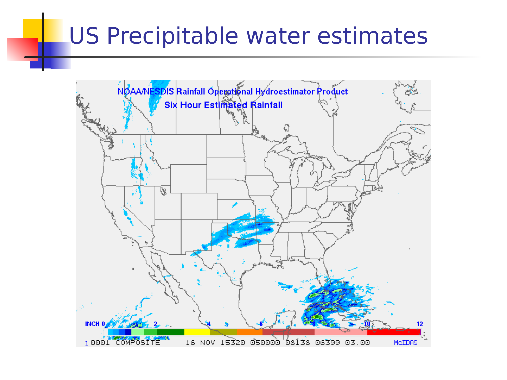### US Precipitable water estimates